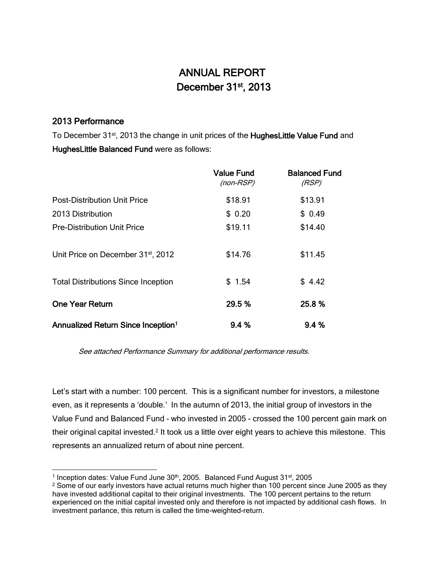# ANNUAL REPORT December 31<sup>st</sup>, 2013

# 2013 Performance

To December 31<sup>st</sup>, 2013 the change in unit prices of the HughesLittle Value Fund and HughesLittle Balanced Fund were as follows:

|                                                | Value Fund<br>(non-RSP) | <b>Balanced Fund</b><br>(RSP) |
|------------------------------------------------|-------------------------|-------------------------------|
| <b>Post-Distribution Unit Price</b>            | \$18.91                 | \$13.91                       |
| 2013 Distribution                              | \$0.20                  | \$0.49                        |
| <b>Pre-Distribution Unit Price</b>             | \$19.11                 | \$14.40                       |
| Unit Price on December 31 <sup>st</sup> , 2012 | \$14.76                 | \$11.45                       |
| <b>Total Distributions Since Inception</b>     | \$1.54                  | \$4.42                        |
| <b>One Year Return</b>                         | 29.5 %                  | 25.8%                         |
| Annualized Return Since Inception <sup>1</sup> | 9.4%                    | 9.4%                          |

See attached Performance Summary for additional performance results.

Let's start with a number: 100 percent. This is a significant number for investors, a milestone even, as it represents a 'double.' In the autumn of 2013, the initial group of investors in the Value Fund and Balanced Fund – who invested in 2005 - crossed the 100 percent gain mark on their original capital invested.<sup>2</sup> It took us a little over eight years to achieve this milestone. This represents an annualized return of about nine percent.

l <sup>1</sup> Inception dates: Value Fund June 30<sup>th</sup>, 2005. Balanced Fund August 31<sup>st</sup>, 2005

 $2$  Some of our early investors have actual returns much higher than 100 percent since June 2005 as they have invested additional capital to their original investments. The 100 percent pertains to the return experienced on the initial capital invested only and therefore is not impacted by additional cash flows. In investment parlance, this return is called the time-weighted-return.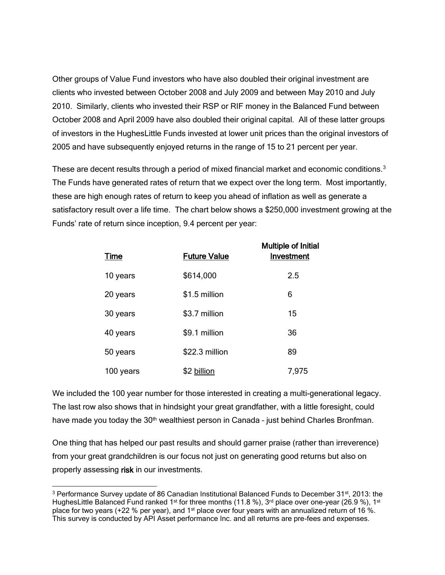Other groups of Value Fund investors who have also doubled their original investment are clients who invested between October 2008 and July 2009 and between May 2010 and July 2010. Similarly, clients who invested their RSP or RIF money in the Balanced Fund between October 2008 and April 2009 have also doubled their original capital. All of these latter groups of investors in the HughesLittle Funds invested at lower unit prices than the original investors of 2005 and have subsequently enjoyed returns in the range of 15 to 21 percent per year.

These are decent results through a period of mixed financial market and economic conditions.<sup>3</sup> The Funds have generated rates of return that we expect over the long term. Most importantly, these are high enough rates of return to keep you ahead of inflation as well as generate a satisfactory result over a life time. The chart below shows a \$250,000 investment growing at the Funds' rate of return since inception, 9.4 percent per year:

| <u>Time</u> | <b>Future Value</b> | <b>Multiple of Initial</b><br>Investment |
|-------------|---------------------|------------------------------------------|
| 10 years    | \$614,000           | 2.5                                      |
| 20 years    | \$1.5 million       | 6                                        |
| 30 years    | \$3.7 million       | 15                                       |
| 40 years    | \$9.1 million       | 36                                       |
| 50 years    | \$22.3 million      | 89                                       |
| 100 years   | \$2 billion         | 7,975                                    |

We included the 100 year number for those interested in creating a multi-generational legacy. The last row also shows that in hindsight your great grandfather, with a little foresight, could have made you today the  $30<sup>th</sup>$  wealthiest person in Canada - just behind Charles Bronfman.

One thing that has helped our past results and should garner praise (rather than irreverence) from your great grandchildren is our focus not just on generating good returns but also on properly assessing risk in our investments.

l

<sup>&</sup>lt;sup>3</sup> Performance Survey update of 86 Canadian Institutional Balanced Funds to December 31<sup>st</sup>, 2013: the HughesLittle Balanced Fund ranked 1<sup>st</sup> for three months (11.8 %), 3<sup>rd</sup> place over one-year (26.9 %), 1<sup>st</sup> place for two years (+22 % per year), and 1<sup>st</sup> place over four years with an annualized return of 16 %. This survey is conducted by API Asset performance Inc. and all returns are pre-fees and expenses.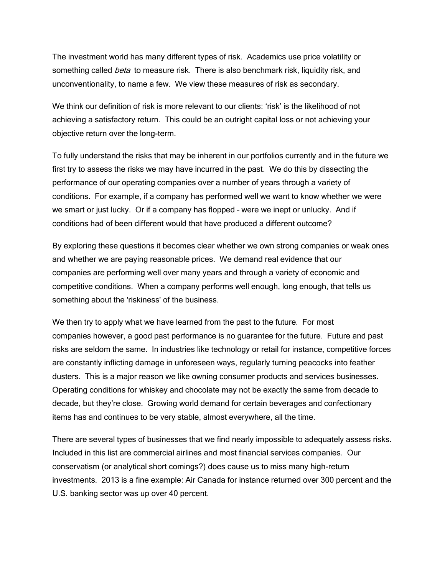The investment world has many different types of risk. Academics use price volatility or something called *beta* to measure risk. There is also benchmark risk, liquidity risk, and unconventionality, to name a few. We view these measures of risk as secondary.

We think our definition of risk is more relevant to our clients: 'risk' is the likelihood of not achieving a satisfactory return. This could be an outright capital loss or not achieving your objective return over the long-term.

To fully understand the risks that may be inherent in our portfolios currently and in the future we first try to assess the risks we may have incurred in the past. We do this by dissecting the performance of our operating companies over a number of years through a variety of conditions. For example, if a company has performed well we want to know whether we were we smart or just lucky. Or if a company has flopped – were we inept or unlucky. And if conditions had of been different would that have produced a different outcome?

By exploring these questions it becomes clear whether we own strong companies or weak ones and whether we are paying reasonable prices. We demand real evidence that our companies are performing well over many years and through a variety of economic and competitive conditions. When a company performs well enough, long enough, that tells us something about the 'riskiness' of the business.

We then try to apply what we have learned from the past to the future. For most companies however, a good past performance is no guarantee for the future. Future and past risks are seldom the same. In industries like technology or retail for instance, competitive forces are constantly inflicting damage in unforeseen ways, regularly turning peacocks into feather dusters. This is a major reason we like owning consumer products and services businesses. Operating conditions for whiskey and chocolate may not be exactly the same from decade to decade, but they're close. Growing world demand for certain beverages and confectionary items has and continues to be very stable, almost everywhere, all the time.

There are several types of businesses that we find nearly impossible to adequately assess risks. Included in this list are commercial airlines and most financial services companies. Our conservatism (or analytical short comings?) does cause us to miss many high-return investments. 2013 is a fine example: Air Canada for instance returned over 300 percent and the U.S. banking sector was up over 40 percent.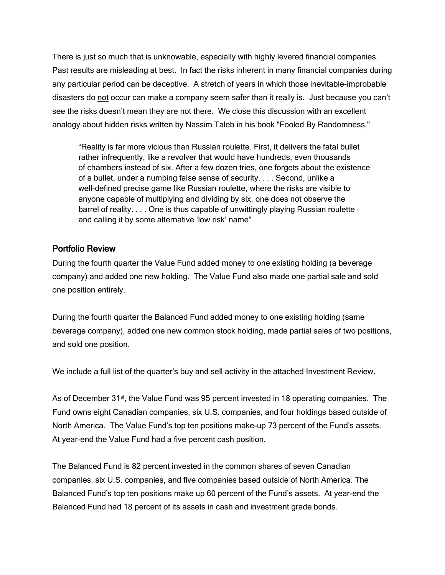There is just so much that is unknowable, especially with highly levered financial companies. Past results are misleading at best. In fact the risks inherent in many financial companies during any particular period can be deceptive. A stretch of years in which those inevitable-improbable disasters do not occur can make a company seem safer than it really is. Just because you can't see the risks doesn't mean they are not there. We close this discussion with an excellent analogy about hidden risks written by Nassim Taleb in his book "Fooled By Randomness,"

"Reality is far more vicious than Russian roulette. First, it delivers the fatal bullet rather infrequently, like a revolver that would have hundreds, even thousands of chambers instead of six. After a few dozen tries, one forgets about the existence of a bullet, under a numbing false sense of security. . . . Second, unlike a well-defined precise game like Russian roulette, where the risks are visible to anyone capable of multiplying and dividing by six, one does not observe the barrel of reality. . . . One is thus capable of unwittingly playing Russian roulette – and calling it by some alternative 'low risk' name"

### Portfolio Review

During the fourth quarter the Value Fund added money to one existing holding (a beverage company) and added one new holding. The Value Fund also made one partial sale and sold one position entirely.

During the fourth quarter the Balanced Fund added money to one existing holding (same beverage company), added one new common stock holding, made partial sales of two positions, and sold one position.

We include a full list of the quarter's buy and sell activity in the attached Investment Review.

As of December 31<sup>st</sup>, the Value Fund was 95 percent invested in 18 operating companies. The Fund owns eight Canadian companies, six U.S. companies, and four holdings based outside of North America. The Value Fund's top ten positions make-up 73 percent of the Fund's assets. At year-end the Value Fund had a five percent cash position.

The Balanced Fund is 82 percent invested in the common shares of seven Canadian companies, six U.S. companies, and five companies based outside of North America. The Balanced Fund's top ten positions make up 60 percent of the Fund's assets. At year-end the Balanced Fund had 18 percent of its assets in cash and investment grade bonds.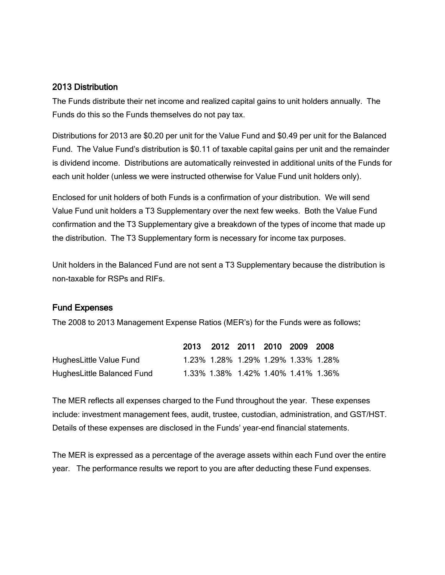#### 2013 Distribution

The Funds distribute their net income and realized capital gains to unit holders annually. The Funds do this so the Funds themselves do not pay tax.

Distributions for 2013 are \$0.20 per unit for the Value Fund and \$0.49 per unit for the Balanced Fund. The Value Fund's distribution is \$0.11 of taxable capital gains per unit and the remainder is dividend income. Distributions are automatically reinvested in additional units of the Funds for each unit holder (unless we were instructed otherwise for Value Fund unit holders only).

Enclosed for unit holders of both Funds is a confirmation of your distribution. We will send Value Fund unit holders a T3 Supplementary over the next few weeks. Both the Value Fund confirmation and the T3 Supplementary give a breakdown of the types of income that made up the distribution. The T3 Supplementary form is necessary for income tax purposes.

Unit holders in the Balanced Fund are not sent a T3 Supplementary because the distribution is non-taxable for RSPs and RIFs.

#### Fund Expenses

The 2008 to 2013 Management Expense Ratios (MER's) for the Funds were as follows:

|                            | 2013 2012 2011 2010 2009 2008       |  |  |                                     |
|----------------------------|-------------------------------------|--|--|-------------------------------------|
| HughesLittle Value Fund    | 1.23% 1.28% 1.29% 1.29% 1.33% 1.28% |  |  |                                     |
| HughesLittle Balanced Fund |                                     |  |  | 1.33% 1.38% 1.42% 1.40% 1.41% 1.36% |

The MER reflects all expenses charged to the Fund throughout the year. These expenses include: investment management fees, audit, trustee, custodian, administration, and GST/HST. Details of these expenses are disclosed in the Funds' year-end financial statements.

The MER is expressed as a percentage of the average assets within each Fund over the entire year. The performance results we report to you are after deducting these Fund expenses.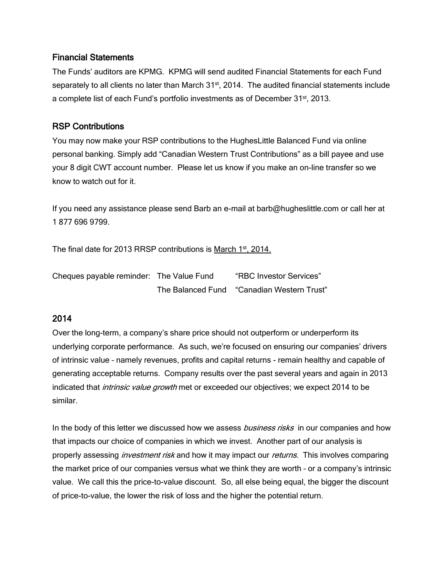#### Financial Statements

The Funds' auditors are KPMG. KPMG will send audited Financial Statements for each Fund separately to all clients no later than March 31<sup>st</sup>, 2014. The audited financial statements include a complete list of each Fund's portfolio investments as of December 31<sup>st</sup>, 2013.

## RSP Contributions

You may now make your RSP contributions to the HughesLittle Balanced Fund via online personal banking. Simply add "Canadian Western Trust Contributions" as a bill payee and use your 8 digit CWT account number. Please let us know if you make an on-line transfer so we know to watch out for it.

If you need any assistance please send Barb an e-mail at [barb@hugheslittle.com](mailto:barb@hugheslittle.com) or call her at 1 877 696 9799.

The final date for 2013 RRSP contributions is March 1st, 2014.

| Cheques payable reminder: The Value Fund |                   | "RBC Investor Services"  |
|------------------------------------------|-------------------|--------------------------|
|                                          | The Balanced Fund | "Canadian Western Trust" |

# 2014

Over the long-term, a company's share price should not outperform or underperform its underlying corporate performance. As such, we're focused on ensuring our companies' drivers of intrinsic value – namely revenues, profits and capital returns - remain healthy and capable of generating acceptable returns. Company results over the past several years and again in 2013 indicated that *intrinsic value growth* met or exceeded our objectives; we expect 2014 to be similar.

In the body of this letter we discussed how we assess *business risks* in our companies and how that impacts our choice of companies in which we invest. Another part of our analysis is properly assessing *investment risk* and how it may impact our *returns*. This involves comparing the market price of our companies versus what we think they are worth – or a company's intrinsic value. We call this the price-to-value discount. So, all else being equal, the bigger the discount of price-to-value, the lower the risk of loss and the higher the potential return.